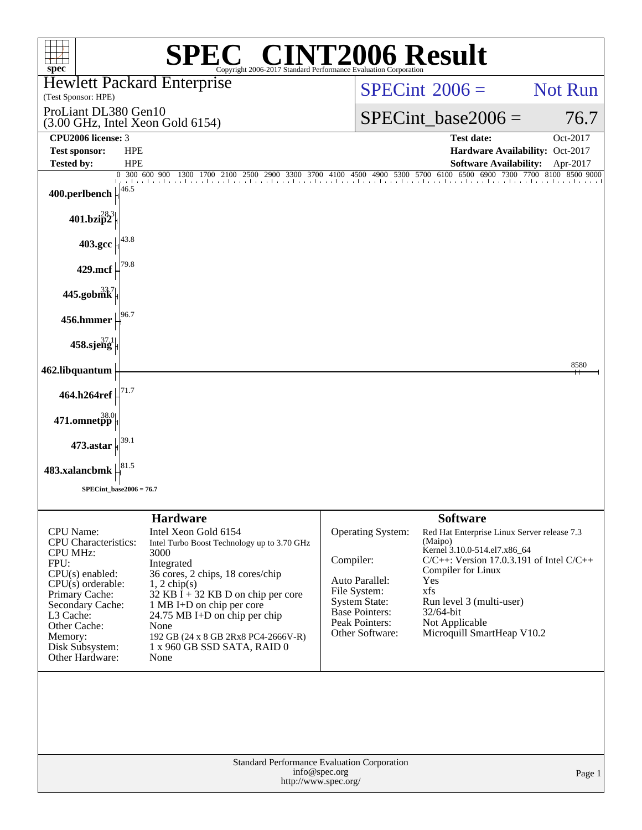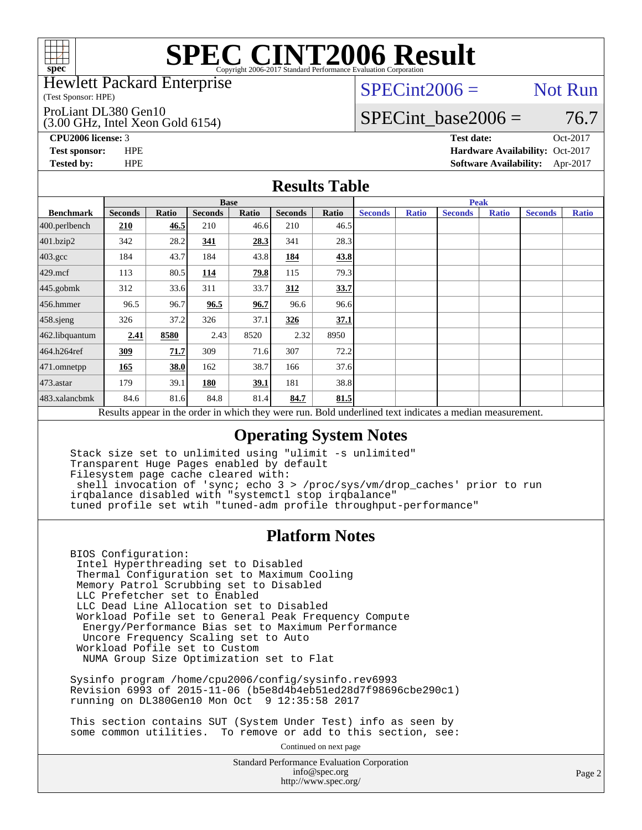

#### Hewlett Packard Enterprise

(Test Sponsor: HPE)

ProLiant DL380 Gen10

(3.00 GHz, Intel Xeon Gold 6154)

 $SPECint2006 =$  Not Run

SPECint base2006 =  $76.7$ 

**[CPU2006 license:](http://www.spec.org/auto/cpu2006/Docs/result-fields.html#CPU2006license)** 3 **[Test date:](http://www.spec.org/auto/cpu2006/Docs/result-fields.html#Testdate)** Oct-2017

**[Test sponsor:](http://www.spec.org/auto/cpu2006/Docs/result-fields.html#Testsponsor)** HPE **[Hardware Availability:](http://www.spec.org/auto/cpu2006/Docs/result-fields.html#HardwareAvailability)** Oct-2017 **[Tested by:](http://www.spec.org/auto/cpu2006/Docs/result-fields.html#Testedby)** HPE **[Software Availability:](http://www.spec.org/auto/cpu2006/Docs/result-fields.html#SoftwareAvailability)** Apr-2017

#### **[Results Table](http://www.spec.org/auto/cpu2006/Docs/result-fields.html#ResultsTable)**

|                                                                                                          | <b>Base</b>    |       |                |       |                |       | <b>Peak</b>    |              |                |              |                |              |
|----------------------------------------------------------------------------------------------------------|----------------|-------|----------------|-------|----------------|-------|----------------|--------------|----------------|--------------|----------------|--------------|
| <b>Benchmark</b>                                                                                         | <b>Seconds</b> | Ratio | <b>Seconds</b> | Ratio | <b>Seconds</b> | Ratio | <b>Seconds</b> | <b>Ratio</b> | <b>Seconds</b> | <b>Ratio</b> | <b>Seconds</b> | <b>Ratio</b> |
| $400.$ perlbench                                                                                         | 210            | 46.5  | 210            | 46.6  | 210            | 46.5  |                |              |                |              |                |              |
| 401.bzip2                                                                                                | 342            | 28.2  | 341            | 28.3  | 341            | 28.3  |                |              |                |              |                |              |
| $403.\mathrm{gcc}$                                                                                       | 184            | 43.7  | 184            | 43.8  | 184            | 43.8  |                |              |                |              |                |              |
| $429$ .mcf                                                                                               | 113            | 80.5  | 114            | 79.8  | 115            | 79.3  |                |              |                |              |                |              |
| $445$ .gobmk                                                                                             | 312            | 33.6  | 311            | 33.7  | 312            | 33.7  |                |              |                |              |                |              |
| 456.hmmer                                                                                                | 96.5           | 96.7  | 96.5           | 96.7  | 96.6           | 96.6  |                |              |                |              |                |              |
| 458 sjeng                                                                                                | 326            | 37.2  | 326            | 37.1  | 326            | 37.1  |                |              |                |              |                |              |
| 462.libquantum                                                                                           | 2.41           | 8580  | 2.43           | 8520  | 2.32           | 8950  |                |              |                |              |                |              |
| 464.h264ref                                                                                              | 309            | 71.7  | 309            | 71.6  | 307            | 72.2  |                |              |                |              |                |              |
| $ 471$ .omnetpp                                                                                          | 165            | 38.0  | 162            | 38.7  | 166            | 37.6  |                |              |                |              |                |              |
| $473$ . astar                                                                                            | 179            | 39.1  | 180            | 39.1  | 181            | 38.8  |                |              |                |              |                |              |
| 483.xalancbmk                                                                                            | 84.6           | 81.6  | 84.8           | 81.4  | 84.7           | 81.5  |                |              |                |              |                |              |
| Results appear in the order in which they were run. Bold underlined text indicates a median measurement. |                |       |                |       |                |       |                |              |                |              |                |              |

### **[Operating System Notes](http://www.spec.org/auto/cpu2006/Docs/result-fields.html#OperatingSystemNotes)**

 Stack size set to unlimited using "ulimit -s unlimited" Transparent Huge Pages enabled by default Filesystem page cache cleared with: shell invocation of 'sync; echo 3 > /proc/sys/vm/drop\_caches' prior to run irqbalance disabled with "systemctl stop irqbalance" tuned profile set wtih "tuned-adm profile throughput-performance"

### **[Platform Notes](http://www.spec.org/auto/cpu2006/Docs/result-fields.html#PlatformNotes)**

 BIOS Configuration: Intel Hyperthreading set to Disabled Thermal Configuration set to Maximum Cooling Memory Patrol Scrubbing set to Disabled LLC Prefetcher set to Enabled LLC Dead Line Allocation set to Disabled Workload Pofile set to General Peak Frequency Compute Energy/Performance Bias set to Maximum Performance Uncore Frequency Scaling set to Auto Workload Pofile set to Custom NUMA Group Size Optimization set to Flat

 Sysinfo program /home/cpu2006/config/sysinfo.rev6993 Revision 6993 of 2015-11-06 (b5e8d4b4eb51ed28d7f98696cbe290c1) running on DL380Gen10 Mon Oct 9 12:35:58 2017

 This section contains SUT (System Under Test) info as seen by some common utilities. To remove or add to this section, see:

Continued on next page

Standard Performance Evaluation Corporation [info@spec.org](mailto:info@spec.org) <http://www.spec.org/>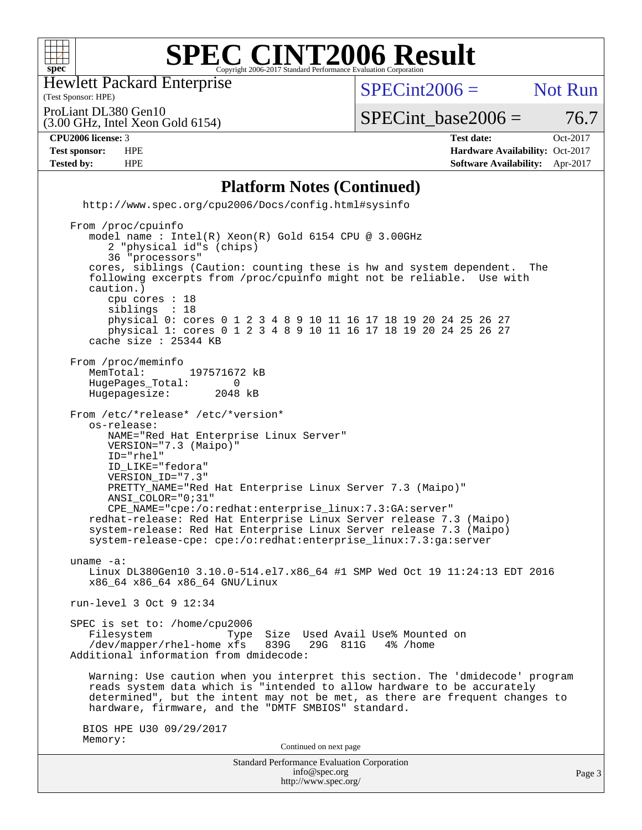

Hewlett Packard Enterprise

(Test Sponsor: HPE)

 $SPECint2006 =$  Not Run

ProLiant DL380 Gen10

(3.00 GHz, Intel Xeon Gold 6154)

**[Tested by:](http://www.spec.org/auto/cpu2006/Docs/result-fields.html#Testedby)** HPE **[Software Availability:](http://www.spec.org/auto/cpu2006/Docs/result-fields.html#SoftwareAvailability)** Apr-2017

**[CPU2006 license:](http://www.spec.org/auto/cpu2006/Docs/result-fields.html#CPU2006license)** 3 **[Test date:](http://www.spec.org/auto/cpu2006/Docs/result-fields.html#Testdate)** Oct-2017 **[Test sponsor:](http://www.spec.org/auto/cpu2006/Docs/result-fields.html#Testsponsor)** HPE **[Hardware Availability:](http://www.spec.org/auto/cpu2006/Docs/result-fields.html#HardwareAvailability)** Oct-2017

 $SPECTnt\_base2006 = 76.7$ 

Standard Performance Evaluation Corporation **[Platform Notes \(Continued\)](http://www.spec.org/auto/cpu2006/Docs/result-fields.html#PlatformNotes)** <http://www.spec.org/cpu2006/Docs/config.html#sysinfo> From /proc/cpuinfo model name : Intel(R) Xeon(R) Gold 6154 CPU @ 3.00GHz 2 "physical id"s (chips) 36 "processors" cores, siblings (Caution: counting these is hw and system dependent. The following excerpts from /proc/cpuinfo might not be reliable. Use with caution.) cpu cores : 18 siblings : 18 physical 0: cores 0 1 2 3 4 8 9 10 11 16 17 18 19 20 24 25 26 27 physical 1: cores 0 1 2 3 4 8 9 10 11 16 17 18 19 20 24 25 26 27 cache size : 25344 KB From /proc/meminfo<br>MemTotal: 197571672 kB HugePages\_Total: 0<br>Hugepagesize: 2048 kB Hugepagesize: From /etc/\*release\* /etc/\*version\* os-release: NAME="Red Hat Enterprise Linux Server" VERSION="7.3 (Maipo)" ID="rhel" ID\_LIKE="fedora" VERSION\_ID="7.3" PRETTY\_NAME="Red Hat Enterprise Linux Server 7.3 (Maipo)" ANSI\_COLOR="0;31" CPE\_NAME="cpe:/o:redhat:enterprise\_linux:7.3:GA:server" redhat-release: Red Hat Enterprise Linux Server release 7.3 (Maipo) system-release: Red Hat Enterprise Linux Server release 7.3 (Maipo) system-release-cpe: cpe:/o:redhat:enterprise\_linux:7.3:ga:server uname -a: Linux DL380Gen10 3.10.0-514.el7.x86\_64 #1 SMP Wed Oct 19 11:24:13 EDT 2016 x86\_64 x86\_64 x86\_64 GNU/Linux run-level 3 Oct 9 12:34 SPEC is set to: /home/cpu2006 Filesystem Type Size Used Avail Use% Mounted on<br>/dev/mapper/rhel-home xfs 839G 29G 811G 4% /home /dev/mapper/rhel-home xfs 839G Additional information from dmidecode: Warning: Use caution when you interpret this section. The 'dmidecode' program reads system data which is "intended to allow hardware to be accurately determined", but the intent may not be met, as there are frequent changes to hardware, firmware, and the "DMTF SMBIOS" standard. BIOS HPE U30 09/29/2017 Memory: Continued on next page

[info@spec.org](mailto:info@spec.org) <http://www.spec.org/>

Page 3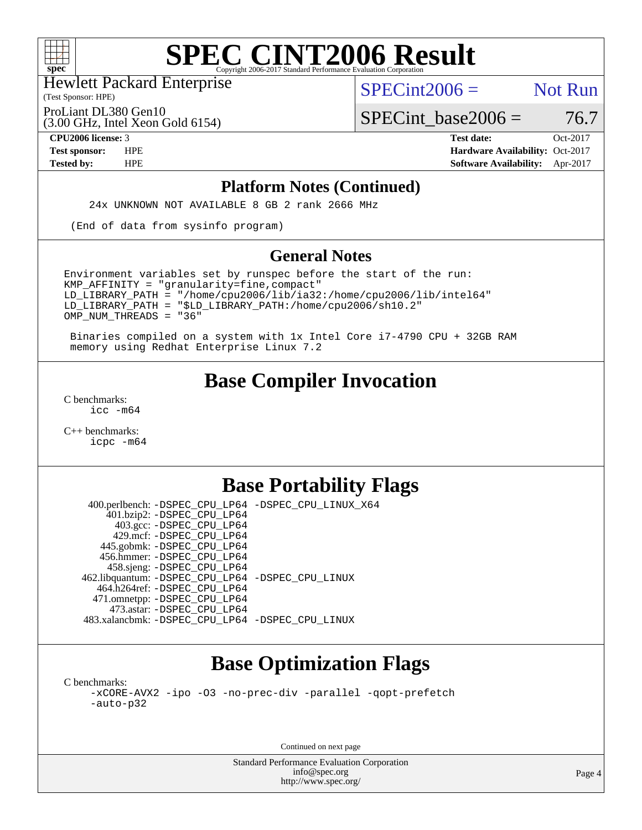

(Test Sponsor: HPE) Hewlett Packard Enterprise

 $SPECint2006 =$  Not Run

ProLiant DL380 Gen10

(3.00 GHz, Intel Xeon Gold 6154)

 $SPECTnt\_base2006 = 76.7$ **[CPU2006 license:](http://www.spec.org/auto/cpu2006/Docs/result-fields.html#CPU2006license)** 3 **[Test date:](http://www.spec.org/auto/cpu2006/Docs/result-fields.html#Testdate)** Oct-2017

**[Test sponsor:](http://www.spec.org/auto/cpu2006/Docs/result-fields.html#Testsponsor)** HPE **[Hardware Availability:](http://www.spec.org/auto/cpu2006/Docs/result-fields.html#HardwareAvailability)** Oct-2017 **[Tested by:](http://www.spec.org/auto/cpu2006/Docs/result-fields.html#Testedby)** HPE **[Software Availability:](http://www.spec.org/auto/cpu2006/Docs/result-fields.html#SoftwareAvailability)** Apr-2017

#### **[Platform Notes \(Continued\)](http://www.spec.org/auto/cpu2006/Docs/result-fields.html#PlatformNotes)**

24x UNKNOWN NOT AVAILABLE 8 GB 2 rank 2666 MHz

(End of data from sysinfo program)

#### **[General Notes](http://www.spec.org/auto/cpu2006/Docs/result-fields.html#GeneralNotes)**

Environment variables set by runspec before the start of the run:  $KMP$  AFFINITY = "granularity=fine, compact" LD\_LIBRARY\_PATH = "/home/cpu2006/lib/ia32:/home/cpu2006/lib/intel64" LD\_LIBRARY\_PATH = "\$LD\_LIBRARY\_PATH:/home/cpu2006/sh10.2" OMP\_NUM\_THREADS = "36"

 Binaries compiled on a system with 1x Intel Core i7-4790 CPU + 32GB RAM memory using Redhat Enterprise Linux 7.2

## **[Base Compiler Invocation](http://www.spec.org/auto/cpu2006/Docs/result-fields.html#BaseCompilerInvocation)**

[C benchmarks](http://www.spec.org/auto/cpu2006/Docs/result-fields.html#Cbenchmarks): [icc -m64](http://www.spec.org/cpu2006/results/res2017q4/cpu2006-20171017-50329.flags.html#user_CCbase_intel_icc_64bit_bda6cc9af1fdbb0edc3795bac97ada53)

[C++ benchmarks:](http://www.spec.org/auto/cpu2006/Docs/result-fields.html#CXXbenchmarks) [icpc -m64](http://www.spec.org/cpu2006/results/res2017q4/cpu2006-20171017-50329.flags.html#user_CXXbase_intel_icpc_64bit_fc66a5337ce925472a5c54ad6a0de310)

### **[Base Portability Flags](http://www.spec.org/auto/cpu2006/Docs/result-fields.html#BasePortabilityFlags)**

 400.perlbench: [-DSPEC\\_CPU\\_LP64](http://www.spec.org/cpu2006/results/res2017q4/cpu2006-20171017-50329.flags.html#b400.perlbench_basePORTABILITY_DSPEC_CPU_LP64) [-DSPEC\\_CPU\\_LINUX\\_X64](http://www.spec.org/cpu2006/results/res2017q4/cpu2006-20171017-50329.flags.html#b400.perlbench_baseCPORTABILITY_DSPEC_CPU_LINUX_X64) 401.bzip2: [-DSPEC\\_CPU\\_LP64](http://www.spec.org/cpu2006/results/res2017q4/cpu2006-20171017-50329.flags.html#suite_basePORTABILITY401_bzip2_DSPEC_CPU_LP64) 403.gcc: [-DSPEC\\_CPU\\_LP64](http://www.spec.org/cpu2006/results/res2017q4/cpu2006-20171017-50329.flags.html#suite_basePORTABILITY403_gcc_DSPEC_CPU_LP64) 429.mcf: [-DSPEC\\_CPU\\_LP64](http://www.spec.org/cpu2006/results/res2017q4/cpu2006-20171017-50329.flags.html#suite_basePORTABILITY429_mcf_DSPEC_CPU_LP64) 445.gobmk: [-DSPEC\\_CPU\\_LP64](http://www.spec.org/cpu2006/results/res2017q4/cpu2006-20171017-50329.flags.html#suite_basePORTABILITY445_gobmk_DSPEC_CPU_LP64) 456.hmmer: [-DSPEC\\_CPU\\_LP64](http://www.spec.org/cpu2006/results/res2017q4/cpu2006-20171017-50329.flags.html#suite_basePORTABILITY456_hmmer_DSPEC_CPU_LP64) 458.sjeng: [-DSPEC\\_CPU\\_LP64](http://www.spec.org/cpu2006/results/res2017q4/cpu2006-20171017-50329.flags.html#suite_basePORTABILITY458_sjeng_DSPEC_CPU_LP64) 462.libquantum: [-DSPEC\\_CPU\\_LP64](http://www.spec.org/cpu2006/results/res2017q4/cpu2006-20171017-50329.flags.html#suite_basePORTABILITY462_libquantum_DSPEC_CPU_LP64) [-DSPEC\\_CPU\\_LINUX](http://www.spec.org/cpu2006/results/res2017q4/cpu2006-20171017-50329.flags.html#b462.libquantum_baseCPORTABILITY_DSPEC_CPU_LINUX) 464.h264ref: [-DSPEC\\_CPU\\_LP64](http://www.spec.org/cpu2006/results/res2017q4/cpu2006-20171017-50329.flags.html#suite_basePORTABILITY464_h264ref_DSPEC_CPU_LP64) 471.omnetpp: [-DSPEC\\_CPU\\_LP64](http://www.spec.org/cpu2006/results/res2017q4/cpu2006-20171017-50329.flags.html#suite_basePORTABILITY471_omnetpp_DSPEC_CPU_LP64) 473.astar: [-DSPEC\\_CPU\\_LP64](http://www.spec.org/cpu2006/results/res2017q4/cpu2006-20171017-50329.flags.html#suite_basePORTABILITY473_astar_DSPEC_CPU_LP64) 483.xalancbmk: [-DSPEC\\_CPU\\_LP64](http://www.spec.org/cpu2006/results/res2017q4/cpu2006-20171017-50329.flags.html#suite_basePORTABILITY483_xalancbmk_DSPEC_CPU_LP64) [-DSPEC\\_CPU\\_LINUX](http://www.spec.org/cpu2006/results/res2017q4/cpu2006-20171017-50329.flags.html#b483.xalancbmk_baseCXXPORTABILITY_DSPEC_CPU_LINUX)

# **[Base Optimization Flags](http://www.spec.org/auto/cpu2006/Docs/result-fields.html#BaseOptimizationFlags)**

[C benchmarks](http://www.spec.org/auto/cpu2006/Docs/result-fields.html#Cbenchmarks): [-xCORE-AVX2](http://www.spec.org/cpu2006/results/res2017q4/cpu2006-20171017-50329.flags.html#user_CCbase_f-xCORE-AVX2) [-ipo](http://www.spec.org/cpu2006/results/res2017q4/cpu2006-20171017-50329.flags.html#user_CCbase_f-ipo) [-O3](http://www.spec.org/cpu2006/results/res2017q4/cpu2006-20171017-50329.flags.html#user_CCbase_f-O3) [-no-prec-div](http://www.spec.org/cpu2006/results/res2017q4/cpu2006-20171017-50329.flags.html#user_CCbase_f-no-prec-div) [-parallel](http://www.spec.org/cpu2006/results/res2017q4/cpu2006-20171017-50329.flags.html#user_CCbase_f-parallel) [-qopt-prefetch](http://www.spec.org/cpu2006/results/res2017q4/cpu2006-20171017-50329.flags.html#user_CCbase_f-qopt-prefetch) [-auto-p32](http://www.spec.org/cpu2006/results/res2017q4/cpu2006-20171017-50329.flags.html#user_CCbase_f-auto-p32)

Continued on next page

Standard Performance Evaluation Corporation [info@spec.org](mailto:info@spec.org) <http://www.spec.org/>